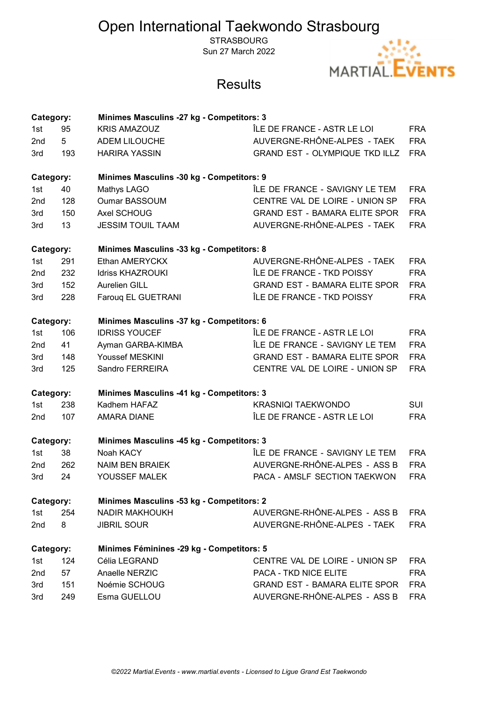**STRASBOURG** Sun 27 March 2022



| Category:       |     | <b>Minimes Masculins -27 kg - Competitors: 3</b> |                                       |            |
|-----------------|-----|--------------------------------------------------|---------------------------------------|------------|
| 1st             | 95  | <b>KRIS AMAZOUZ</b>                              | ÎLE DE FRANCE - ASTR LE LOI           | <b>FRA</b> |
| 2nd             | 5   | ADEM LILOUCHE                                    | AUVERGNE-RHÔNE-ALPES - TAEK           | <b>FRA</b> |
| 3rd             | 193 | <b>HARIRA YASSIN</b>                             | <b>GRAND EST - OLYMPIQUE TKD ILLZ</b> | <b>FRA</b> |
| Category:       |     | Minimes Masculins -30 kg - Competitors: 9        |                                       |            |
| 1st             | 40  | Mathys LAGO                                      | ÎLE DE FRANCE - SAVIGNY LE TEM        | <b>FRA</b> |
| 2nd             | 128 | <b>Oumar BASSOUM</b>                             | CENTRE VAL DE LOIRE - UNION SP        | <b>FRA</b> |
| 3rd             | 150 | Axel SCHOUG                                      | <b>GRAND EST - BAMARA ELITE SPOR</b>  | <b>FRA</b> |
| 3rd             | 13  | <b>JESSIM TOUIL TAAM</b>                         | AUVERGNE-RHÔNE-ALPES - TAEK           | <b>FRA</b> |
| Category:       |     | Minimes Masculins -33 kg - Competitors: 8        |                                       |            |
| 1st             | 291 | Ethan AMERYCKX                                   | AUVERGNE-RHÔNE-ALPES - TAEK           | <b>FRA</b> |
| 2nd             | 232 | <b>Idriss KHAZROUKI</b>                          | ÎLE DE FRANCE - TKD POISSY            | <b>FRA</b> |
| 3rd             | 152 | Aurelien GILL                                    | <b>GRAND EST - BAMARA ELITE SPOR</b>  | <b>FRA</b> |
| 3rd             | 228 | Farouq EL GUETRANI                               | ÎLE DE FRANCE - TKD POISSY            | <b>FRA</b> |
| Category:       |     | Minimes Masculins -37 kg - Competitors: 6        |                                       |            |
| 1st             | 106 | <b>IDRISS YOUCEF</b>                             | ÎLE DE FRANCE - ASTR LE LOI           | <b>FRA</b> |
| 2nd             | 41  | Ayman GARBA-KIMBA                                | ÎLE DE FRANCE - SAVIGNY LE TEM        | <b>FRA</b> |
| 3rd             | 148 | Youssef MESKINI                                  | <b>GRAND EST - BAMARA ELITE SPOR</b>  | <b>FRA</b> |
| 3rd             | 125 | Sandro FERREIRA                                  | CENTRE VAL DE LOIRE - UNION SP        | <b>FRA</b> |
| Category:       |     | <b>Minimes Masculins -41 kg - Competitors: 3</b> |                                       |            |
| 1st             | 238 | Kadhem HAFAZ                                     | <b>KRASNIQI TAEKWONDO</b>             | SUI        |
| 2nd             | 107 | <b>AMARA DIANE</b>                               | ÎLE DE FRANCE - ASTR LE LOI           | <b>FRA</b> |
| Category:       |     | <b>Minimes Masculins -45 kg - Competitors: 3</b> |                                       |            |
| 1st             | 38  | Noah KACY                                        | ÎLE DE FRANCE - SAVIGNY LE TEM        | <b>FRA</b> |
| 2 <sub>nd</sub> | 262 | <b>NAIM BEN BRAIEK</b>                           | AUVERGNE-RHÔNE-ALPES - ASS B          | <b>FRA</b> |
| 3rd             | 24  | YOUSSEF MALEK                                    | PACA - AMSLF SECTION TAEKWON          | <b>FRA</b> |
| Category:       |     | Minimes Masculins -53 kg - Competitors: 2        |                                       |            |
| 1st             | 254 | <b>NADIR MAKHOUKH</b>                            | AUVERGNE-RHÔNE-ALPES - ASS B          | <b>FRA</b> |
| 2nd             | 8   | <b>JIBRIL SOUR</b>                               | AUVERGNE-RHÔNE-ALPES - TAEK           | <b>FRA</b> |
| Category:       |     | Minimes Féminines -29 kg - Competitors: 5        |                                       |            |
| 1st             | 124 | Célia LEGRAND                                    | CENTRE VAL DE LOIRE - UNION SP        | <b>FRA</b> |
| 2nd             | 57  | Anaelle NERZIC                                   | PACA - TKD NICE ELITE                 | <b>FRA</b> |
| 3rd             | 151 | Noémie SCHOUG                                    | <b>GRAND EST - BAMARA ELITE SPOR</b>  | <b>FRA</b> |
| 3rd             | 249 | Esma GUELLOU                                     | AUVERGNE-RHÔNE-ALPES - ASS B          | <b>FRA</b> |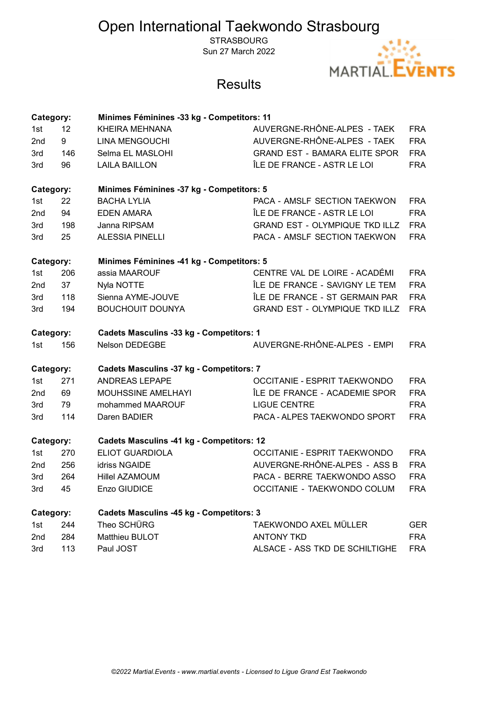**STRASBOURG** Sun 27 March 2022



| Category:                                              |     | Minimes Féminines -33 kg - Competitors: 11       |                                       |            |  |
|--------------------------------------------------------|-----|--------------------------------------------------|---------------------------------------|------------|--|
| 1st                                                    | 12  | <b>KHEIRA MEHNANA</b>                            | AUVERGNE-RHÔNE-ALPES - TAEK           | <b>FRA</b> |  |
| 2nd                                                    | 9   | LINA MENGOUCHI                                   | AUVERGNE-RHÔNE-ALPES - TAEK           | <b>FRA</b> |  |
| 3rd                                                    | 146 | Selma EL MASLOHI                                 | <b>GRAND EST - BAMARA ELITE SPOR</b>  | <b>FRA</b> |  |
| 3rd                                                    | 96  | <b>LAILA BAILLON</b>                             | ÎLE DE FRANCE - ASTR LE LOI           | <b>FRA</b> |  |
| Minimes Féminines -37 kg - Competitors: 5<br>Category: |     |                                                  |                                       |            |  |
| 1st                                                    | 22  | <b>BACHA LYLIA</b>                               | PACA - AMSLF SECTION TAEKWON          | <b>FRA</b> |  |
| 2nd                                                    | 94  | <b>EDEN AMARA</b>                                | ÎLE DE FRANCE - ASTR LE LOI           | <b>FRA</b> |  |
| 3rd                                                    | 198 | Janna RIPSAM                                     | <b>GRAND EST - OLYMPIQUE TKD ILLZ</b> | <b>FRA</b> |  |
| 3rd                                                    | 25  | <b>ALESSIA PINELLI</b>                           | PACA - AMSLF SECTION TAEKWON          | <b>FRA</b> |  |
| Minimes Féminines -41 kg - Competitors: 5<br>Category: |     |                                                  |                                       |            |  |
| 1st                                                    | 206 | assia MAAROUF                                    | CENTRE VAL DE LOIRE - ACADÉMI         | <b>FRA</b> |  |
| 2nd                                                    | 37  | Nyla NOTTE                                       | ÎLE DE FRANCE - SAVIGNY LE TEM        | <b>FRA</b> |  |
| 3rd                                                    | 118 | Sienna AYME-JOUVE                                | ÎLE DE FRANCE - ST GERMAIN PAR        | <b>FRA</b> |  |
| 3rd                                                    | 194 | <b>BOUCHOUIT DOUNYA</b>                          | <b>GRAND EST - OLYMPIQUE TKD ILLZ</b> | <b>FRA</b> |  |
| Category:                                              |     | <b>Cadets Masculins -33 kg - Competitors: 1</b>  |                                       |            |  |
| 1st                                                    | 156 | <b>Nelson DEDEGBE</b>                            | AUVERGNE-RHÔNE-ALPES - EMPI           | <b>FRA</b> |  |
| Category:                                              |     | <b>Cadets Masculins -37 kg - Competitors: 7</b>  |                                       |            |  |
| 1st                                                    | 271 | <b>ANDREAS LEPAPE</b>                            | OCCITANIE - ESPRIT TAEKWONDO          | <b>FRA</b> |  |
| 2nd                                                    | 69  | MOUHSSINE AMELHAYI                               | ÎLE DE FRANCE - ACADEMIE SPOR         | <b>FRA</b> |  |
| 3rd                                                    | 79  | mohammed MAAROUF                                 | <b>LIGUE CENTRE</b>                   | <b>FRA</b> |  |
| 3rd                                                    | 114 | Daren BADIER                                     | PACA - ALPES TAEKWONDO SPORT          | <b>FRA</b> |  |
| Category:                                              |     | <b>Cadets Masculins -41 kg - Competitors: 12</b> |                                       |            |  |
| 1st                                                    | 270 | <b>ELIOT GUARDIOLA</b>                           | OCCITANIE - ESPRIT TAEKWONDO          | <b>FRA</b> |  |
| 2nd                                                    | 256 | idriss NGAIDE                                    | AUVERGNE-RHÔNE-ALPES - ASS B          | <b>FRA</b> |  |
| 3rd                                                    | 264 | <b>Hillel AZAMOUM</b>                            | PACA - BERRE TAEKWONDO ASSO           | <b>FRA</b> |  |
| 3rd                                                    | 45  | Enzo GIUDICE                                     | OCCITANIE - TAEKWONDO COLUM           | <b>FRA</b> |  |
| Category:                                              |     | <b>Cadets Masculins -45 kg - Competitors: 3</b>  |                                       |            |  |
| 1st                                                    | 244 | Theo SCHÜRG                                      | TAEKWONDO AXEL MÜLLER                 | <b>GER</b> |  |
| 2nd                                                    | 284 | Matthieu BULOT                                   | <b>ANTONY TKD</b>                     | <b>FRA</b> |  |
| 3rd                                                    | 113 | Paul JOST                                        | ALSACE - ASS TKD DE SCHILTIGHE        | <b>FRA</b> |  |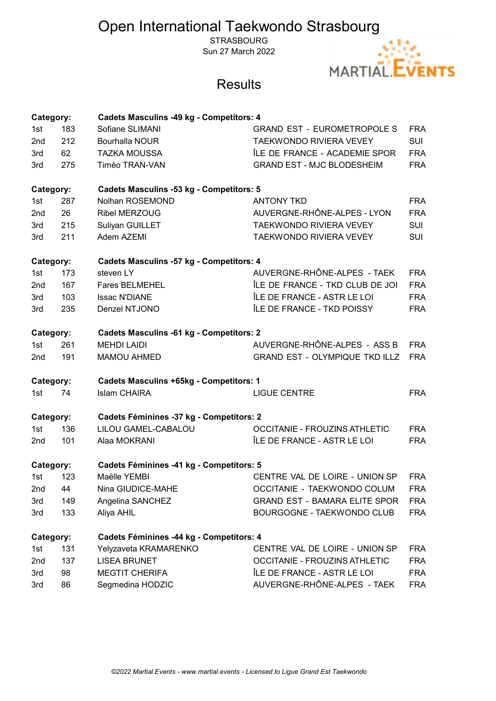**STRASBOURG** Sun 27 March 2022



| Category:                                                    |     | <b>Cadets Masculins -49 kg - Competitors: 4</b> |                                       |            |
|--------------------------------------------------------------|-----|-------------------------------------------------|---------------------------------------|------------|
| 1st                                                          | 183 | Sofiane SLIMANI                                 | <b>GRAND EST - EUROMETROPOLE S</b>    | <b>FRA</b> |
| 2nd                                                          | 212 | <b>Bourhalla NOUR</b>                           | <b>TAEKWONDO RIVIERA VEVEY</b>        | <b>SUI</b> |
| 3rd                                                          | 62  | <b>TAZKA MOUSSA</b>                             | ÎLE DE FRANCE - ACADEMIE SPOR         | <b>FRA</b> |
| 3rd                                                          | 275 | Timéo TRAN-VAN                                  | <b>GRAND EST - MJC BLODESHEIM</b>     | <b>FRA</b> |
| Category:                                                    |     | <b>Cadets Masculins -53 kg - Competitors: 5</b> |                                       |            |
| 1st                                                          | 287 | Nolhan ROSEMOND                                 | <b>ANTONY TKD</b>                     | <b>FRA</b> |
| 2nd                                                          | 26  | <b>Ribel MERZOUG</b>                            | AUVERGNE-RHÔNE-ALPES - LYON           | <b>FRA</b> |
| 3rd                                                          | 215 | Suliyan GUILLET                                 | TAEKWONDO RIVIERA VEVEY               | <b>SUI</b> |
| 3rd                                                          | 211 | Adem AZEMI                                      | TAEKWONDO RIVIERA VEVEY               | <b>SUI</b> |
| Category:<br><b>Cadets Masculins -57 kg - Competitors: 4</b> |     |                                                 |                                       |            |
| 1st                                                          | 173 | steven LY                                       | AUVERGNE-RHÔNE-ALPES - TAEK           | <b>FRA</b> |
| 2nd                                                          | 167 | <b>Fares BELMEHEL</b>                           | ÎLE DE FRANCE - TKD CLUB DE JOI       | <b>FRA</b> |
| 3rd                                                          | 103 | <b>Issac N'DIANE</b>                            | ÎLE DE FRANCE - ASTR LE LOI           | <b>FRA</b> |
| 3rd                                                          | 235 | Denzel NTJONO                                   | ÎLE DE FRANCE - TKD POISSY            | <b>FRA</b> |
| Category:                                                    |     | <b>Cadets Masculins -61 kg - Competitors: 2</b> |                                       |            |
| 1st                                                          | 261 | <b>MEHDI LAIDI</b>                              | AUVERGNE-RHÔNE-ALPES - ASS B          | <b>FRA</b> |
| 2nd                                                          | 191 | <b>MAMOU AHMED</b>                              | <b>GRAND EST - OLYMPIQUE TKD ILLZ</b> | <b>FRA</b> |
| Category:                                                    |     | <b>Cadets Masculins +65kg - Competitors: 1</b>  |                                       |            |
| 1st                                                          | 74  | <b>Islam CHAIRA</b>                             | <b>LIGUE CENTRE</b>                   | <b>FRA</b> |
| Category:                                                    |     | Cadets Féminines -37 kg - Competitors: 2        |                                       |            |
| 1st                                                          | 136 | LILOU GAMEL-CABALOU                             | OCCITANIE - FROUZINS ATHLETIC         | <b>FRA</b> |
| 2nd                                                          | 101 | Alaa MOKRANI                                    | ÎLE DE FRANCE - ASTR LE LOI           | <b>FRA</b> |
| Category:                                                    |     | Cadets Féminines -41 kg - Competitors: 5        |                                       |            |
| 1st                                                          | 123 | Maëlle YEMBI                                    | CENTRE VAL DE LOIRE - UNION SP        | <b>FRA</b> |
| 2nd                                                          | 44  | Nina GIUDICE-MAHE                               | OCCITANIE - TAEKWONDO COLUM           | <b>FRA</b> |
| 3rd                                                          | 149 | Angelina SANCHEZ                                | <b>GRAND EST - BAMARA ELITE SPOR</b>  | <b>FRA</b> |
| 3rd                                                          | 133 | Aliya AHIL                                      | BOURGOGNE - TAEKWONDO CLUB            | <b>FRA</b> |
| Category:                                                    |     | Cadets Féminines -44 kg - Competitors: 4        |                                       |            |
| 1st                                                          | 131 | Yelyzaveta KRAMARENKO                           | CENTRE VAL DE LOIRE - UNION SP        | <b>FRA</b> |
| 2nd                                                          | 137 | <b>LISEA BRUNET</b>                             | <b>OCCITANIE - FROUZINS ATHLETIC</b>  | <b>FRA</b> |
| 3rd                                                          | 98  | <b>MEGTIT CHERIFA</b>                           | ÎLE DE FRANCE - ASTR LE LOI           | <b>FRA</b> |
| 3rd                                                          | 86  | Segmedina HODZIC                                | AUVERGNE-RHÔNE-ALPES - TAEK           | <b>FRA</b> |